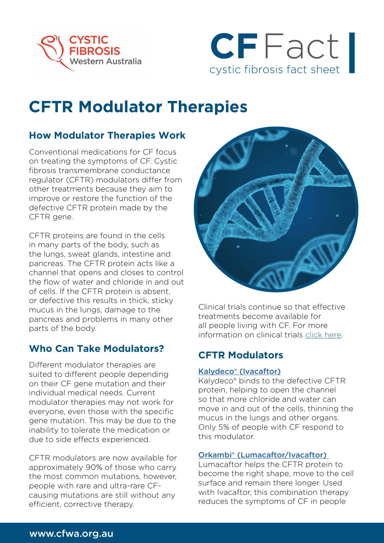



# **CFTR Modulator Therapies**

# **How Modulator Therapies Work**

Conventional medications for CF focus on treating the symptoms of CF. Cystic fibrosis transmembrane conductance regulator (CFTR) modulators differ from other treatments because they aim to improve or restore the function of the defective CFTR protein made by the CFTR gene.

CFTR proteins are found in the cells in many parts of the body, such as the lungs, sweat glands, intestine and pancreas. The CFTR protein acts like a channel that opens and closes to control the flow of water and chloride in and out of cells. If the CFTR protein is absent, or defective this results in thick, sticky mucus in the lungs, damage to the pancreas and problems in many other parts of the body.

# **Who Can Take Modulators?**

Different modulator therapies are suited to different people depending on their CF gene mutation and their individual medical needs. Current modulator therapies may not work for everyone, even those with the specific gene mutation. This may be due to the inability to tolerate the medication or due to side effects experienced.

CFTR modulators are now available for approximately 90% of those who carry the most common mutations, however, people with rare and ultra-rare CFcausing mutations are still without any efficient, corrective therapy.



Clinical trials continue so that effective treatments become available for all people living with CF. For more information on clinical trials [click here](https://www.cysticfibrosis.org.au/what-we-do/clinical-trials).

# **CFTR Modulators**

#### [Kalydeco® \(Ivacaftor\)]( https://www.kalydeco.com/)

Kalydeco® binds to the defective CFTR protein, helping to open the channel so that more chloride and water can move in and out of the cells, thinning the mucus in the lungs and other organs. Only 5% of people with CF respond to this modulator.

#### [Orkambi® \(Lumacaftor/Ivacaftor\)](https://www.orkambi.com/)

Lumacaftor helps the CFTR protein to become the right shape, move to the cell surface and remain there longer. Used with Ivacaftor, this combination therapy reduces the symptoms of CF in people

## www.cfwa.org.au